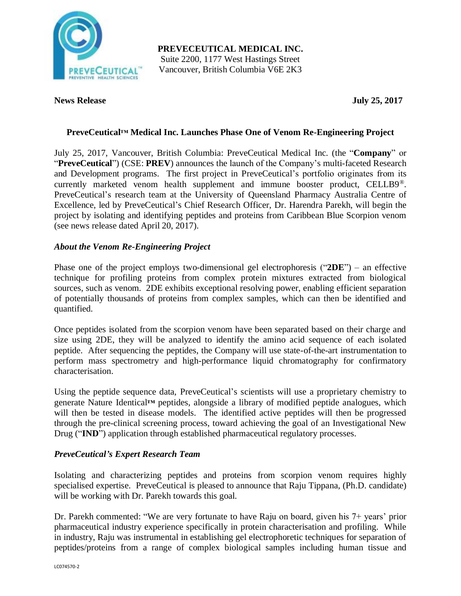

**PREVECEUTICAL MEDICAL INC.** Suite 2200, 1177 West Hastings Street Vancouver, British Columbia V6E 2K3

#### **News Release July 25, 2017**

# **PreveCeutical™ Medical Inc. Launches Phase One of Venom Re-Engineering Project**

July 25, 2017, Vancouver, British Columbia: PreveCeutical Medical Inc. (the "**Company**" or "**PreveCeutical**") (CSE: **PREV**) announces the launch of the Company's multi-faceted Research and Development programs. The first project in PreveCeutical's portfolio originates from its currently marketed venom health supplement and immune booster product, CELLB9®. PreveCeutical's research team at the University of Queensland Pharmacy Australia Centre of Excellence, led by PreveCeutical's Chief Research Officer, Dr. Harendra Parekh, will begin the project by isolating and identifying peptides and proteins from Caribbean Blue Scorpion venom (see news release dated April 20, 2017).

## *About the Venom Re-Engineering Project*

Phase one of the project employs two-dimensional gel electrophoresis ("**2DE**") – an effective technique for profiling proteins from complex protein mixtures extracted from biological sources, such as venom. 2DE exhibits exceptional resolving power, enabling efficient separation of potentially thousands of proteins from complex samples, which can then be identified and quantified.

Once peptides isolated from the scorpion venom have been separated based on their charge and size using 2DE, they will be analyzed to identify the amino acid sequence of each isolated peptide. After sequencing the peptides, the Company will use state-of-the-art instrumentation to perform mass spectrometry and high-performance liquid chromatography for confirmatory characterisation.

Using the peptide sequence data, PreveCeutical's scientists will use a proprietary chemistry to generate Nature Identical**™** peptides, alongside a library of modified peptide analogues, which will then be tested in disease models. The identified active peptides will then be progressed through the pre-clinical screening process, toward achieving the goal of an Investigational New Drug ("**IND**") application through established pharmaceutical regulatory processes.

## *PreveCeutical's Expert Research Team*

Isolating and characterizing peptides and proteins from scorpion venom requires highly specialised expertise. PreveCeutical is pleased to announce that Raju Tippana, (Ph.D. candidate) will be working with Dr. Parekh towards this goal.

Dr. Parekh commented: "We are very fortunate to have Raju on board, given his 7+ years' prior pharmaceutical industry experience specifically in protein characterisation and profiling. While in industry, Raju was instrumental in establishing gel electrophoretic techniques for separation of peptides/proteins from a range of complex biological samples including human tissue and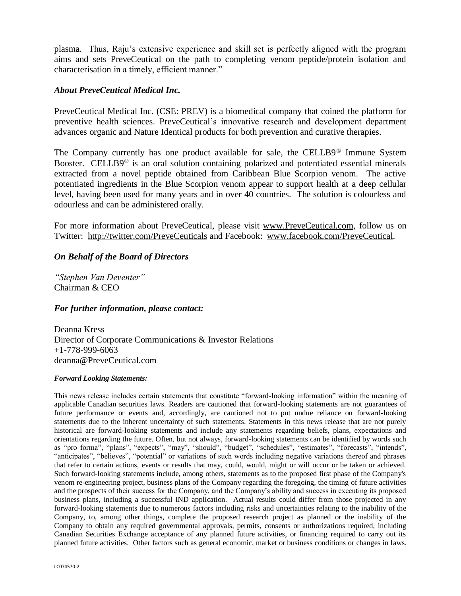plasma. Thus, Raju's extensive experience and skill set is perfectly aligned with the program aims and sets PreveCeutical on the path to completing venom peptide/protein isolation and characterisation in a timely, efficient manner."

## *About PreveCeutical Medical Inc.*

PreveCeutical Medical Inc. (CSE: PREV) is a biomedical company that coined the platform for preventive health sciences. PreveCeutical's innovative research and development department advances organic and Nature Identical products for both prevention and curative therapies.

The Company currently has one product available for sale, the CELLB9® Immune System Booster. CELLB9® is an oral solution containing polarized and potentiated essential minerals extracted from a novel peptide obtained from Caribbean Blue Scorpion venom. The active potentiated ingredients in the Blue Scorpion venom appear to support health at a deep cellular level, having been used for many years and in over 40 countries. The solution is colourless and odourless and can be administered orally.

For more information about PreveCeutical, please visit www.PreveCeutical.com, follow us on Twitter: http://twitter.com/PreveCeuticals and Facebook: www.facebook.com/PreveCeutical.

## *On Behalf of the Board of Directors*

*"Stephen Van Deventer"* Chairman & CEO

#### *For further information, please contact:*

Deanna Kress Director of Corporate Communications & Investor Relations +1-778-999-6063 deanna@PreveCeutical.com

#### *Forward Looking Statements:*

This news release includes certain statements that constitute "forward-looking information" within the meaning of applicable Canadian securities laws. Readers are cautioned that forward-looking statements are not guarantees of future performance or events and, accordingly, are cautioned not to put undue reliance on forward-looking statements due to the inherent uncertainty of such statements. Statements in this news release that are not purely historical are forward-looking statements and include any statements regarding beliefs, plans, expectations and orientations regarding the future. Often, but not always, forward-looking statements can be identified by words such as "pro forma", "plans", "expects", "may", "should", "budget", "schedules", "estimates", "forecasts", "intends", "anticipates", "believes", "potential" or variations of such words including negative variations thereof and phrases that refer to certain actions, events or results that may, could, would, might or will occur or be taken or achieved. Such forward-looking statements include, among others, statements as to the proposed first phase of the Company's venom re-engineering project, business plans of the Company regarding the foregoing, the timing of future activities and the prospects of their success for the Company, and the Company's ability and success in executing its proposed business plans, including a successful IND application. Actual results could differ from those projected in any forward-looking statements due to numerous factors including risks and uncertainties relating to the inability of the Company, to, among other things, complete the proposed research project as planned or the inability of the Company to obtain any required governmental approvals, permits, consents or authorizations required, including Canadian Securities Exchange acceptance of any planned future activities, or financing required to carry out its planned future activities. Other factors such as general economic, market or business conditions or changes in laws,